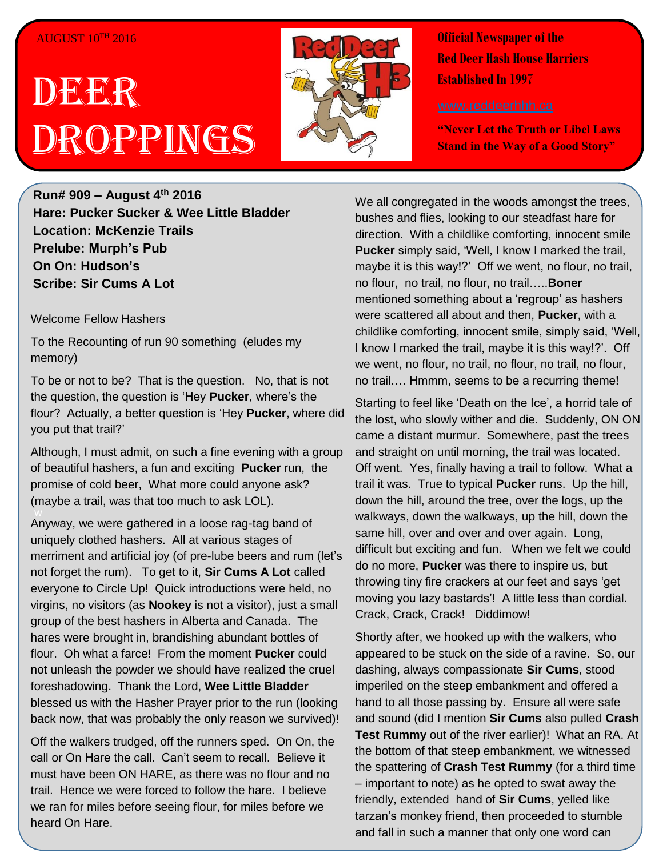### $AUGUST 10<sup>TH</sup> 2016$

# DEER Droppings



**Official Newspaper of the Red Deer Hash House Harriers Established In 1997** 

**"Never Let the Truth or Libel Laws Stand in the Way of a Good Story"**

**Run# 909 – August 4th 2016 Hare: Pucker Sucker & Wee Little Bladder Location: McKenzie Trails Prelube: Murph's Pub On On: Hudson's Scribe: Sir Cums A Lot**

Welcome Fellow Hashers

To the Recounting of run 90 something (eludes my memory)

To be or not to be? That is the question. No, that is not the question, the question is 'Hey **Pucker**, where's the flour? Actually, a better question is 'Hey **Pucker**, where did you put that trail?'

Although, I must admit, on such a fine evening with a group of beautiful hashers, a fun and exciting **Pucker** run, the promise of cold beer, What more could anyone ask? (maybe a trail, was that too much to ask LOL).

w Anyway, we were gathered in a loose rag-tag band of uniquely clothed hashers. All at various stages of merriment and artificial joy (of pre-lube beers and rum (let's not forget the rum). To get to it, **Sir Cums A Lot** called everyone to Circle Up! Quick introductions were held, no virgins, no visitors (as **Nookey** is not a visitor), just a small group of the best hashers in Alberta and Canada. The hares were brought in, brandishing abundant bottles of flour. Oh what a farce! From the moment **Pucker** could not unleash the powder we should have realized the cruel foreshadowing. Thank the Lord, **Wee Little Bladder** blessed us with the Hasher Prayer prior to the run (looking back now, that was probably the only reason we survived)!

Off the walkers trudged, off the runners sped. On On, the call or On Hare the call. Can't seem to recall. Believe it must have been ON HARE, as there was no flour and no trail. Hence we were forced to follow the hare. I believe we ran for miles before seeing flour, for miles before we heard On Hare.

We all congregated in the woods amongst the trees, bushes and flies, looking to our steadfast hare for direction. With a childlike comforting, innocent smile **Pucker** simply said, 'Well, I know I marked the trail, maybe it is this way!?' Off we went, no flour, no trail, no flour, no trail, no flour, no trail…..**Boner** mentioned something about a 'regroup' as hashers were scattered all about and then, **Pucker**, with a childlike comforting, innocent smile, simply said, 'Well, I know I marked the trail, maybe it is this way!?'. Off we went, no flour, no trail, no flour, no trail, no flour, no trail…. Hmmm, seems to be a recurring theme!

Starting to feel like 'Death on the Ice', a horrid tale of the lost, who slowly wither and die. Suddenly, ON ON came a distant murmur. Somewhere, past the trees and straight on until morning, the trail was located. Off went. Yes, finally having a trail to follow. What a trail it was. True to typical **Pucker** runs. Up the hill, down the hill, around the tree, over the logs, up the walkways, down the walkways, up the hill, down the same hill, over and over and over again. Long, difficult but exciting and fun. When we felt we could do no more, **Pucker** was there to inspire us, but throwing tiny fire crackers at our feet and says 'get moving you lazy bastards'! A little less than cordial. Crack, Crack, Crack! Diddimow!

Shortly after, we hooked up with the walkers, who appeared to be stuck on the side of a ravine. So, our dashing, always compassionate **Sir Cums**, stood imperiled on the steep embankment and offered a hand to all those passing by. Ensure all were safe and sound (did I mention **Sir Cums** also pulled **Crash Test Rummy** out of the river earlier)! What an RA. At the bottom of that steep embankment, we witnessed the spattering of **Crash Test Rummy** (for a third time – important to note) as he opted to swat away the friendly, extended hand of **Sir Cums**, yelled like tarzan's monkey friend, then proceeded to stumble and fall in such a manner that only one word can